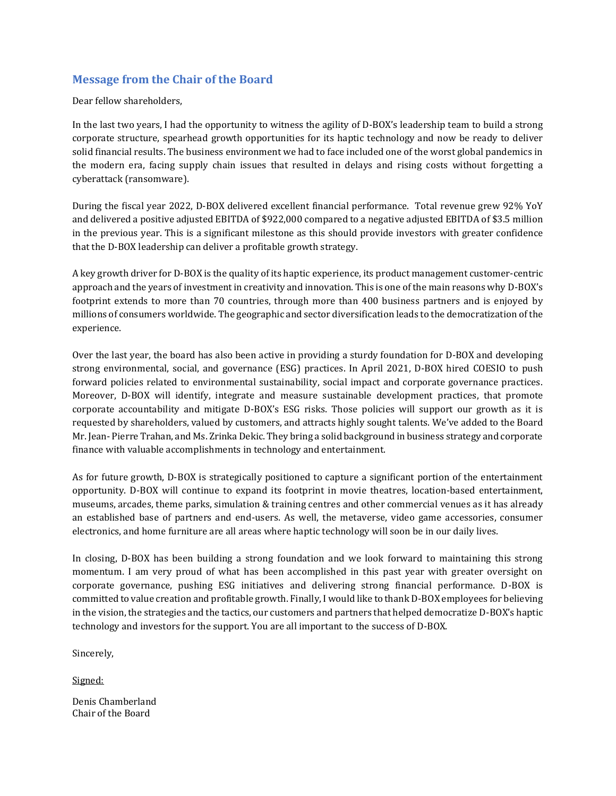## **Message from the Chair of the Board**

Dear fellow shareholders,

In the last two years, I had the opportunity to witness the agility of D-BOX's leadership team to build a strong corporate structure, spearhead growth opportunities for its haptic technology and now be ready to deliver solid financial results. The business environment we had to face included one of the worst global pandemics in the modern era, facing supply chain issues that resulted in delays and rising costs without forgetting a cyberattack (ransomware).

During the fiscal year 2022, D-BOX delivered excellent financial performance. Total revenue grew 92% YoY and delivered a positive adjusted EBITDA of \$922,000 compared to a negative adjusted EBITDA of \$3.5 million in the previous year. This is a significant milestone as this should provide investors with greater confidence that the D-BOX leadership can deliver a profitable growth strategy.

A key growth driver for D-BOX is the quality of its haptic experience, its product management customer-centric approach and the years of investment in creativity and innovation. This is one of the main reasons why D-BOX's footprint extends to more than 70 countries, through more than 400 business partners and is enjoyed by millions of consumers worldwide. The geographic and sector diversification leads to the democratization of the experience.

Over the last year, the board has also been active in providing a sturdy foundation for D-BOX and developing strong environmental, social, and governance (ESG) practices. In April 2021, D-BOX hired COESIO to push forward policies related to environmental sustainability, social impact and corporate governance practices. Moreover, D-BOX will identify, integrate and measure sustainable development practices, that promote corporate accountability and mitigate D-BOX's ESG risks. Those policies will support our growth as it is requested by shareholders, valued by customers, and attracts highly sought talents. We've added to the Board Mr. Jean- Pierre Trahan, and Ms. Zrinka Dekic. They bring a solid background in business strategy and corporate finance with valuable accomplishments in technology and entertainment.

As for future growth, D-BOX is strategically positioned to capture a significant portion of the entertainment opportunity. D-BOX will continue to expand its footprint in movie theatres, location-based entertainment, museums, arcades, theme parks, simulation & training centres and other commercial venues as it has already an established base of partners and end-users. As well, the metaverse, video game accessories, consumer electronics, and home furniture are all areas where haptic technology will soon be in our daily lives.

In closing, D-BOX has been building a strong foundation and we look forward to maintaining this strong momentum. I am very proud of what has been accomplished in this past year with greater oversight on corporate governance, pushing ESG initiatives and delivering strong financial performance. D-BOX is committed to value creation and profitable growth. Finally, I would like to thank D-BOX employees for believing in the vision, the strategies and the tactics, our customers and partners that helped democratize D-BOX's haptic technology and investors for the support. You are all important to the success of D-BOX.

Sincerely,

Signed:

Denis Chamberland Chair of the Board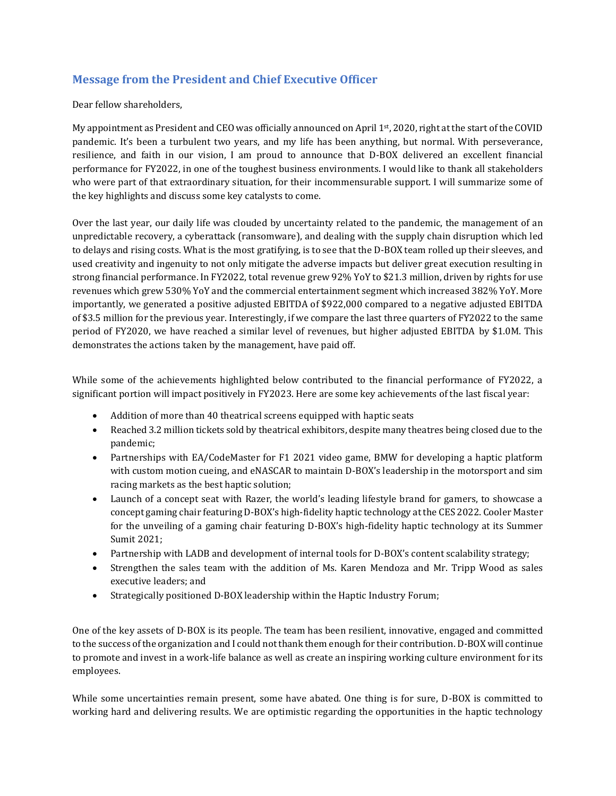## **Message from the President and Chief Executive Officer**

Dear fellow shareholders,

My appointment as President and CEO was officially announced on April 1st, 2020, right at the start of the COVID pandemic. It's been a turbulent two years, and my life has been anything, but normal. With perseverance, resilience, and faith in our vision, I am proud to announce that D-BOX delivered an excellent financial performance for FY2022, in one of the toughest business environments. I would like to thank all stakeholders who were part of that extraordinary situation, for their incommensurable support. I will summarize some of the key highlights and discuss some key catalysts to come.

Over the last year, our daily life was clouded by uncertainty related to the pandemic, the management of an unpredictable recovery, a cyberattack (ransomware), and dealing with the supply chain disruption which led to delays and rising costs. What is the most gratifying, is to see that the D-BOX team rolled up their sleeves, and used creativity and ingenuity to not only mitigate the adverse impacts but deliver great execution resulting in strong financial performance. In FY2022, total revenue grew 92% YoY to \$21.3 million, driven by rights for use revenues which grew 530% YoY and the commercial entertainment segment which increased 382% YoY. More importantly, we generated a positive adjusted EBITDA of \$922,000 compared to a negative adjusted EBITDA of \$3.5 million for the previous year. Interestingly, if we compare the last three quarters of FY2022 to the same period of FY2020, we have reached a similar level of revenues, but higher adjusted EBITDA by \$1.0M. This demonstrates the actions taken by the management, have paid off.

While some of the achievements highlighted below contributed to the financial performance of FY2022, a significant portion will impact positively in FY2023. Here are some key achievements of the last fiscal year:

- Addition of more than 40 theatrical screens equipped with haptic seats
- Reached 3.2 million tickets sold by theatrical exhibitors, despite many theatres being closed due to the pandemic;
- Partnerships with EA/CodeMaster for F1 2021 video game, BMW for developing a haptic platform with custom motion cueing, and eNASCAR to maintain D-BOX's leadership in the motorsport and sim racing markets as the best haptic solution;
- Launch of a concept seat with Razer, the world's leading lifestyle brand for gamers, to showcase a concept gaming chair featuring D-BOX's high-fidelity haptic technology at the CES 2022. Cooler Master for the unveiling of a gaming chair featuring D-BOX's high-fidelity haptic technology at its Summer Sumit 2021;
- Partnership with LADB and development of internal tools for D-BOX's content scalability strategy;
- Strengthen the sales team with the addition of Ms. Karen Mendoza and Mr. Tripp Wood as sales executive leaders; and
- Strategically positioned D-BOX leadership within the Haptic Industry Forum;

One of the key assets of D-BOX is its people. The team has been resilient, innovative, engaged and committed to the success of the organization and I could not thank them enough for their contribution. D-BOX will continue to promote and invest in a work-life balance as well as create an inspiring working culture environment for its employees.

While some uncertainties remain present, some have abated. One thing is for sure, D-BOX is committed to working hard and delivering results. We are optimistic regarding the opportunities in the haptic technology